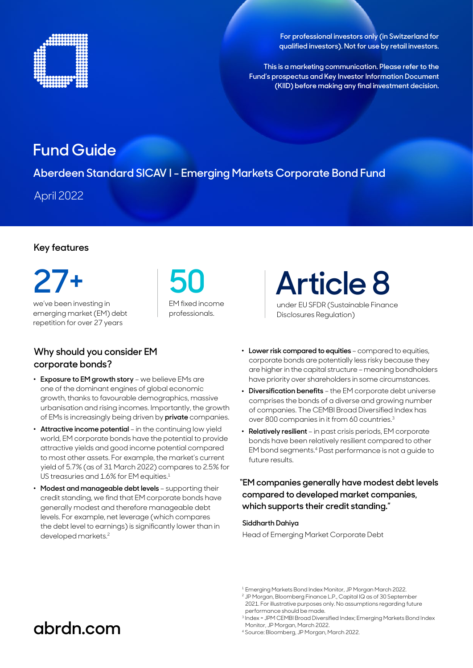

**For professional investors only (in Switzerland for qualified investors). Not for use by retail investors.**

**This is a marketing communication. Please refer to the Fund's prospectus and Key Investor Information Document (KIID) before making any final investment decision.**

## **Fund Guide**

**Aberdeen Standard SICAV I - Emerging Markets Corporate Bond Fund**

April 2022

### **Key features**

we've been investing in emerging market (EM) debt repetition for over 27 years **27+ 50** 

### **Why should you consider EM corporate bonds?**

- . **Exposure to EM growth story**  we believe EMs are one of the dominant engines of global economic growth, thanks to favourable demographics, massive urbanisation and rising incomes. Importantly, the growth of EMs is increasingly being driven by **private** companies.
- . **Attractive income potential** in the continuing low yield world, EM corporate bonds have the potential to provide attractive yields and good income potential compared to most other assets. For example, the market's current yield of 5.7% (as of 31 March 2022) compares to 2.5% for US treasuries and 1.6% for EM equities.<sup>1</sup>
- . **Modest and manageable debt levels**  supporting their credit standing, we find that EM corporate bonds have generally modest and therefore manageable debt levels. For example, net leverage (which compares the debt level to earnings) is significantly lower than in developed markets.2

EM fixed income professionals.

under EU SFDR (Sustainable Finance Disclosures Regulation) **Article 8**

- . **Lower risk compared to equities**  compared to equities, corporate bonds are potentially less risky because they are higher in the capital structure – meaning bondholders have priority over shareholders in some circumstances.
- . **Diversification benefits** the EM corporate debt universe comprises the bonds of a diverse and growing number of companies. The CEMBI Broad Diversified Index has over 800 companies in it from 60 countries.3
- . **Relatively resilient**  in past crisis periods, EM corporate bonds have been relatively resilient compared to other EM bond segments.4 Past performance is not a guide to future results.

### **"EM companies generally have modest debt levels compared to developed market companies, which supports their credit standing."**

#### **Siddharth Dahiya**

Head of Emerging Market Corporate Debt

- <sup>1</sup> Emerging Markets Bond Index Monitor, JP Morgan March 2022.
- 2 JP Morgan, Bloomberg Finance L.P., Capital IQ as of 30 September 2021. For illustrative purposes only. No assumptions regarding future performance should be made.

4 Source: Bloomberg, JP Morgan, March 2022.

# **[abrdn.com](http://www.abrdn.com)**

<sup>3</sup> Index = JPM CEMBI Broad Diversified Index; Emerging Markets Bond Index Monitor, JP Morgan, March 2022.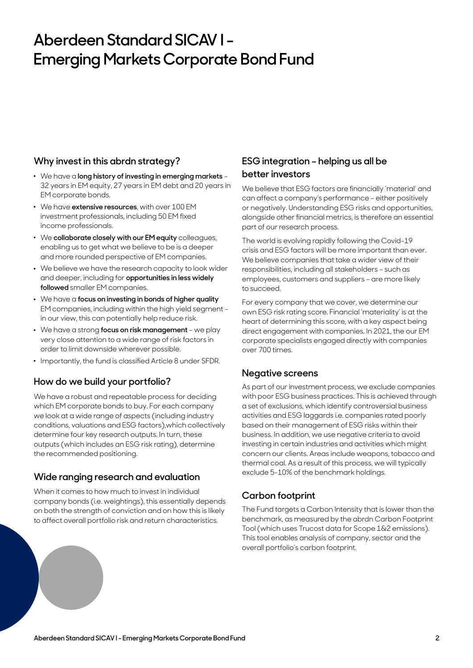# **Aberdeen Standard SICAV I - Emerging Markets Corporate Bond Fund**

### **Why invest in this abrdn strategy?**

- . We have a **long history of investing in emerging markets** 32 years in EM equity, 27 years in EM debt and 20 years in EM corporate bonds.
- . We have **extensive resources**, with over 100 EM investment professionals, including 50 EM fixed income professionals.
- . We **collaborate closely with our EM equity** colleagues, enabling us to get what we believe to be is a deeper and more rounded perspective of EM companies.
- . We believe we have the research capacity to look wider and deeper, including for **opportunities in less widely followed** smaller EM companies.
- . We have a **focus on investing in bonds of higher quality** EM companies, including within the high yield segment – in our view, this can potentially help reduce risk.
- . We have a strong **focus on risk management** we play very close attention to a wide range of risk factors in order to limit downside wherever possible.
- . Importantly, the fund is classified Article 8 under SFDR.

### **How do we build your portfolio?**

We have a robust and repeatable process for deciding which EM corporate bonds to buy. For each company we look at a wide range of aspects (including industry conditions, valuations and ESG factors),which collectively determine four key research outputs. In turn, these outputs (which includes an ESG risk rating), determine the recommended positioning.

### **Wide ranging research and evaluation**

When it comes to how much to invest in individual company bonds (i.e. weightings), this essentially depends on both the strength of conviction and on how this is likely to affect overall portfolio risk and return characteristics.

## **ESG integration – helping us all be better investors**

We believe that ESG factors are financially 'material' and can affect a company's performance – either positively or negatively. Understanding ESG risks and opportunities, alongside other financial metrics, is therefore an essential part of our research process.

The world is evolving rapidly following the Covid-19 crisis and ESG factors will be more important than ever. We believe companies that take a wider view of their responsibilities, including all stakeholders – such as employees, customers and suppliers – are more likely to succeed.

For every company that we cover, we determine our own ESG risk rating score. Financial 'materiality' is at the heart of determining this score, with a key aspect being direct engagement with companies. In 2021, the our EM corporate specialists engaged directly with companies over 700 times.

#### **Negative screens**

As part of our investment process, we exclude companies with poor ESG business practices. This is achieved through a set of exclusions, which identify controversial business activities and ESG laggards i.e. companies rated poorly based on their management of ESG risks within their business. In addition, we use negative criteria to avoid investing in certain industries and activities which might concern our clients. Areas include weapons, tobacco and thermal coal. As a result of this process, we will typically exclude 5-10% of the benchmark holdings.

## **Carbon footprint**

The Fund targets a Carbon Intensity that is lower than the benchmark, as measured by the abrdn Carbon Footprint Tool (which uses Trucost data for Scope 1&2 emissions). This tool enables analysis of company, sector and the overall portfolio's carbon footprint.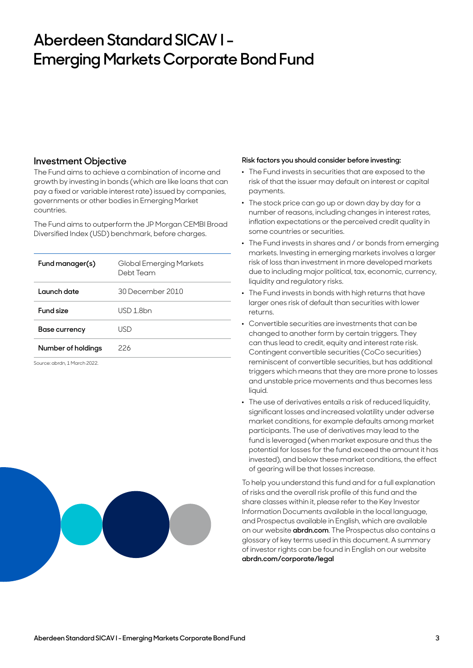# **Aberdeen Standard SICAV I - Emerging Markets Corporate Bond Fund**

#### **Investment Objective**

The Fund aims to achieve a combination of income and growth by investing in bonds (which are like loans that can pay a fixed or variable interest rate) issued by companies, governments or other bodies in Emerging Market countries.

The Fund aims to outperform the JP Morgan CEMBI Broad Diversified Index (USD) benchmark, before charges.

| Fund manager(s)    | Global Emerging Markets<br>Debt Team |
|--------------------|--------------------------------------|
| Launch date        | 30 December 2010                     |
| Fund size          | USD 1.8bn                            |
| Base currency      | USD                                  |
| Number of holdings | 226                                  |

Source: abrdn, 1 March 2022.



#### **Risk factors you should consider before investing:**

- . The Fund invests in securities that are exposed to the risk of that the issuer may default on interest or capital payments.
- . The stock price can go up or down day by day for a number of reasons, including changes in interest rates, inflation expectations or the perceived credit quality in some countries or securities.
- . The Fund invests in shares and / or bonds from emerging markets. Investing in emerging markets involves a larger risk of loss than investment in more developed markets due to including major political, tax, economic, currency, liquidity and regulatory risks.
- . The Fund invests in bonds with high returns that have larger ones risk of default than securities with lower returns.
- . Convertible securities are investments that can be changed to another form by certain triggers. They can thus lead to credit, equity and interest rate risk. Contingent convertible securities (CoCo securities) reminiscent of convertible securities, but has additional triggers which means that they are more prone to losses and unstable price movements and thus becomes less liquid.
- . The use of derivatives entails a risk of reduced liquidity, significant losses and increased volatility under adverse market conditions, for example defaults among market participants. The use of derivatives may lead to the fund is leveraged (when market exposure and thus the potential for losses for the fund exceed the amount it has invested), and below these market conditions, the effect of gearing will be that losses increase.

To help you understand this fund and for a full explanation of risks and the overall risk profile of this fund and the share classes within it, please refer to the Key Investor Information Documents available in the local language, and Prospectus available in English, which are available on our website **[abrdn.com](http://abrdn.com)**. The Prospectus also contains a glossary of key terms used in this document. A summary of investor rights can be found in English on our website **abrdn.com/corporate/legal**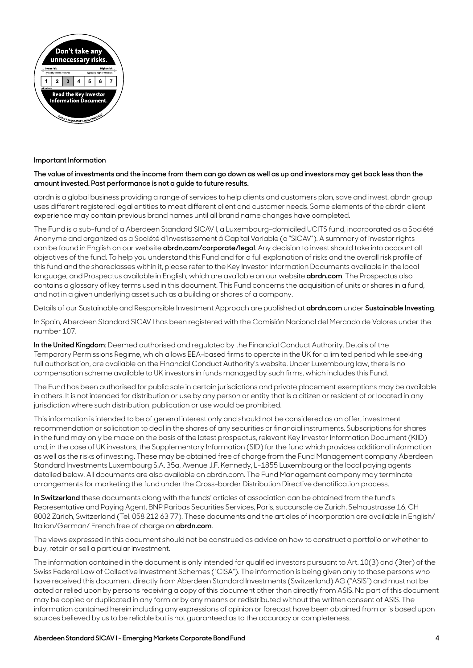

#### **Important Information**

#### **The value of investments and the income from them can go down as well as up and investors may get back less than the amount invested. Past performance is not a guide to future results.**

abrdn is a global business providing a range of services to help clients and customers plan, save and invest. abrdn group uses different registered legal entities to meet different client and customer needs. Some elements of the abrdn client experience may contain previous brand names until all brand name changes have completed.

The Fund is a sub-fund of a Aberdeen Standard SICAV l, a Luxembourg-domiciled UCITS fund, incorporated as a Société Anonyme and organized as a Société d'Investissement á Capital Variable (a "SICAV"). A summary of investor rights can be found in English on our website **[abrdn.com/corporate/legal](http://abrdn.com/corporate/legal)**. Any decision to invest should take into account all objectives of the fund. To help you understand this Fund and for a full explanation of risks and the overall risk profile of this fund and the shareclasses within it, please refer to the Key Investor Information Documents available in the local language, and Prospectus available in English, which are available on our website **[abrdn.com](http://abrdn.com)**. The Prospectus also contains a glossary of key terms used in this document. This Fund concerns the acquisition of units or shares in a fund, and not in a given underlying asset such as a building or shares of a company.

Details of our Sustainable and Responsible Investment Approach are published at **[abrdn.com](http://abrdn.com)** under **Sustainable Investing**.

In Spain, Aberdeen Standard SICAV l has been registered with the Comisión Nacional del Mercado de Valores under the number 107.

**In the United Kingdom**: Deemed authorised and regulated by the Financial Conduct Authority. Details of the Temporary Permissions Regime, which allows EEA-based firms to operate in the UK for a limited period while seeking full authorisation, are available on the Financial Conduct Authority's website. Under Luxembourg law, there is no compensation scheme available to UK investors in funds managed by such firms, which includes this Fund.

The Fund has been authorised for public sale in certain jurisdictions and private placement exemptions may be available in others. It is not intended for distribution or use by any person or entity that is a citizen or resident of or located in any jurisdiction where such distribution, publication or use would be prohibited.

This information is intended to be of general interest only and should not be considered as an offer, investment recommendation or solicitation to deal in the shares of any securities or financial instruments. Subscriptions for shares in the fund may only be made on the basis of the latest prospectus, relevant Key Investor Information Document (KIID) and, in the case of UK investors, the Supplementary Information (SID) for the fund which provides additional information as well as the risks of investing. These may be obtained free of charge from the Fund Management company Aberdeen Standard Investments Luxembourg S.A. 35a, Avenue J.F. Kennedy, L-1855 Luxembourg or the local paying agents detailed below. All documents are also available on abrdn.com. The Fund Management company may terminate arrangements for marketing the fund under the Cross-border Distribution Directive denotification process.

**In Switzerland** these documents along with the funds' articles of association can be obtained from the fund's Representative and Paying Agent, BNP Paribas Securities Services, Paris, succursale de Zurich, Selnaustrasse 16, CH 8002 Zürich, Switzerland (Tel. 058 212 63 77). These documents and the articles of incorporation are available in English/ Italian/German/ French free of charge on **[abrdn.com](http://www.abrdn.com)**.

The views expressed in this document should not be construed as advice on how to construct a portfolio or whether to buy, retain or sell a particular investment.

The information contained in the document is only intended for qualified investors pursuant to Art. 10(3) and (3ter) of the Swiss Federal Law of Collective Investment Schemes ("CISA"). The information is being given only to those persons who have received this document directly from Aberdeen Standard Investments (Switzerland) AG ("ASIS") and must not be acted or relied upon by persons receiving a copy of this document other than directly from ASIS. No part of this document may be copied or duplicated in any form or by any means or redistributed without the written consent of ASIS. The information contained herein including any expressions of opinion or forecast have been obtained from or is based upon sources believed by us to be reliable but is not guaranteed as to the accuracy or completeness.